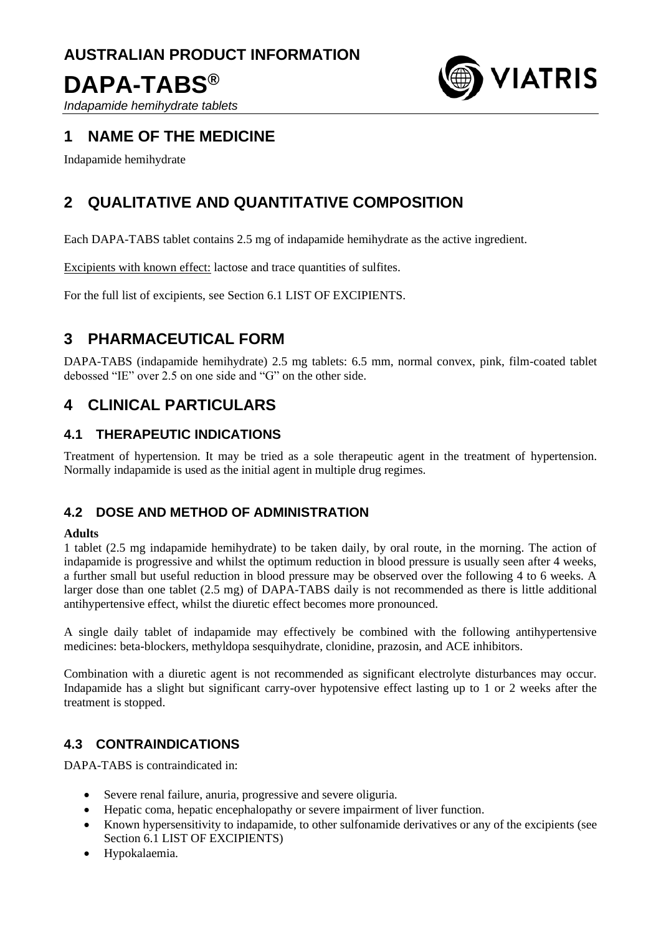## **AUSTRALIAN PRODUCT INFORMATION**

# **DAPA-TABS®**

*Indapamide hemihydrate tablets*



## **1 NAME OF THE MEDICINE**

Indapamide hemihydrate

# **2 QUALITATIVE AND QUANTITATIVE COMPOSITION**

Each DAPA-TABS tablet contains 2.5 mg of indapamide hemihydrate as the active ingredient.

Excipients with known effect: lactose and trace quantities of sulfites.

For the full list of excipients, see Section 6.1 LIST OF EXCIPIENTS.

## **3 PHARMACEUTICAL FORM**

DAPA-TABS (indapamide hemihydrate) 2.5 mg tablets: 6.5 mm, normal convex, pink, film-coated tablet debossed "IE" over 2.5 on one side and "G" on the other side.

## **4 CLINICAL PARTICULARS**

## **4.1 THERAPEUTIC INDICATIONS**

Treatment of hypertension. It may be tried as a sole therapeutic agent in the treatment of hypertension. Normally indapamide is used as the initial agent in multiple drug regimes.

## **4.2 DOSE AND METHOD OF ADMINISTRATION**

### **Adults**

1 tablet (2.5 mg indapamide hemihydrate) to be taken daily, by oral route, in the morning. The action of indapamide is progressive and whilst the optimum reduction in blood pressure is usually seen after 4 weeks, a further small but useful reduction in blood pressure may be observed over the following 4 to 6 weeks. A larger dose than one tablet (2.5 mg) of DAPA-TABS daily is not recommended as there is little additional antihypertensive effect, whilst the diuretic effect becomes more pronounced.

A single daily tablet of indapamide may effectively be combined with the following antihypertensive medicines: beta-blockers, methyldopa sesquihydrate, clonidine, prazosin, and ACE inhibitors.

Combination with a diuretic agent is not recommended as significant electrolyte disturbances may occur. Indapamide has a slight but significant carry-over hypotensive effect lasting up to 1 or 2 weeks after the treatment is stopped.

## **4.3 CONTRAINDICATIONS**

DAPA-TABS is contraindicated in:

- Severe renal failure, anuria, progressive and severe oliguria.
- Hepatic coma, hepatic encephalopathy or severe impairment of liver function.
- Known hypersensitivity to indapamide, to other sulfonamide derivatives or any of the excipients (see Section 6.1 LIST OF EXCIPIENTS)
- Hypokalaemia.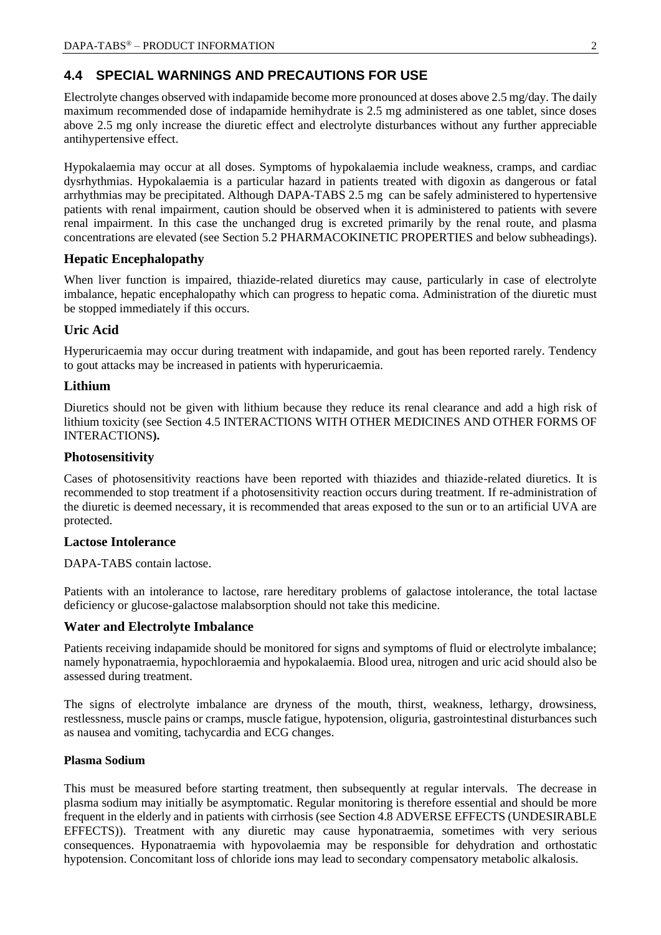## **4.4 SPECIAL WARNINGS AND PRECAUTIONS FOR USE**

Electrolyte changes observed with indapamide become more pronounced at doses above 2.5 mg/day. The daily maximum recommended dose of indapamide hemihydrate is 2.5 mg administered as one tablet, since doses above 2.5 mg only increase the diuretic effect and electrolyte disturbances without any further appreciable antihypertensive effect.

Hypokalaemia may occur at all doses. Symptoms of hypokalaemia include weakness, cramps, and cardiac dysrhythmias. Hypokalaemia is a particular hazard in patients treated with digoxin as dangerous or fatal arrhythmias may be precipitated. Although DAPA-TABS 2.5 mg can be safely administered to hypertensive patients with renal impairment, caution should be observed when it is administered to patients with severe renal impairment. In this case the unchanged drug is excreted primarily by the renal route, and plasma concentrations are elevated (see Section 5.2 PHARMACOKINETIC PROPERTIES and below subheadings).

## **Hepatic Encephalopathy**

When liver function is impaired, thiazide-related diuretics may cause, particularly in case of electrolyte imbalance, hepatic encephalopathy which can progress to hepatic coma. Administration of the diuretic must be stopped immediately if this occurs.

## **Uric Acid**

Hyperuricaemia may occur during treatment with indapamide, and gout has been reported rarely. Tendency to gout attacks may be increased in patients with hyperuricaemia.

## **Lithium**

Diuretics should not be given with lithium because they reduce its renal clearance and add a high risk of lithium toxicity (see Section 4.5 INTERACTIONS WITH OTHER MEDICINES AND OTHER FORMS OF INTERACTIONS**).**

## **Photosensitivity**

Cases of photosensitivity reactions have been reported with thiazides and thiazide-related diuretics. It is recommended to stop treatment if a photosensitivity reaction occurs during treatment. If re-administration of the diuretic is deemed necessary, it is recommended that areas exposed to the sun or to an artificial UVA are protected.

## **Lactose Intolerance**

DAPA-TABS contain lactose.

Patients with an intolerance to lactose, rare hereditary problems of galactose intolerance, the total lactase deficiency or glucose-galactose malabsorption should not take this medicine.

### **Water and Electrolyte Imbalance**

Patients receiving indapamide should be monitored for signs and symptoms of fluid or electrolyte imbalance; namely hyponatraemia, hypochloraemia and hypokalaemia. Blood urea, nitrogen and uric acid should also be assessed during treatment.

The signs of electrolyte imbalance are dryness of the mouth, thirst, weakness, lethargy, drowsiness, restlessness, muscle pains or cramps, muscle fatigue, hypotension, oliguria, gastrointestinal disturbances such as nausea and vomiting, tachycardia and ECG changes.

### **Plasma Sodium**

This must be measured before starting treatment, then subsequently at regular intervals. The decrease in plasma sodium may initially be asymptomatic. Regular monitoring is therefore essential and should be more frequent in the elderly and in patients with cirrhosis (see Section 4.8 ADVERSE EFFECTS (UNDESIRABLE EFFECTS)). Treatment with any diuretic may cause hyponatraemia, sometimes with very serious consequences. Hyponatraemia with hypovolaemia may be responsible for dehydration and orthostatic hypotension. Concomitant loss of chloride ions may lead to secondary compensatory metabolic alkalosis.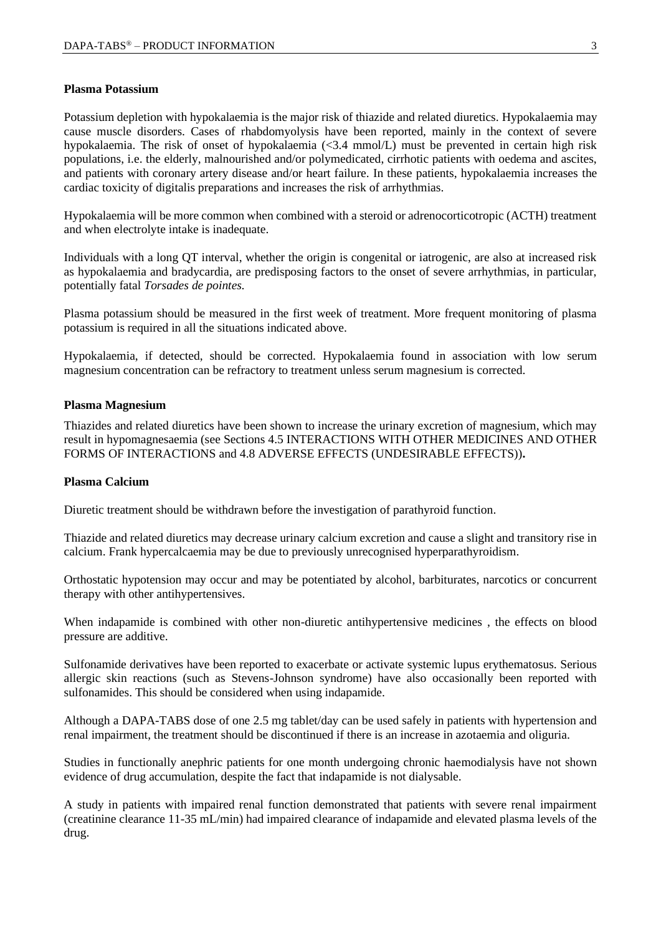#### **Plasma Potassium**

Potassium depletion with hypokalaemia is the major risk of thiazide and related diuretics. Hypokalaemia may cause muscle disorders. Cases of rhabdomyolysis have been reported, mainly in the context of severe hypokalaemia. The risk of onset of hypokalaemia (<3.4 mmol/L) must be prevented in certain high risk populations, i.e. the elderly, malnourished and/or polymedicated, cirrhotic patients with oedema and ascites, and patients with coronary artery disease and/or heart failure. In these patients, hypokalaemia increases the cardiac toxicity of digitalis preparations and increases the risk of arrhythmias.

Hypokalaemia will be more common when combined with a steroid or adrenocorticotropic (ACTH) treatment and when electrolyte intake is inadequate.

Individuals with a long QT interval, whether the origin is congenital or iatrogenic, are also at increased risk as hypokalaemia and bradycardia, are predisposing factors to the onset of severe arrhythmias, in particular, potentially fatal *Torsades de pointes.*

Plasma potassium should be measured in the first week of treatment. More frequent monitoring of plasma potassium is required in all the situations indicated above.

Hypokalaemia, if detected, should be corrected. Hypokalaemia found in association with low serum magnesium concentration can be refractory to treatment unless serum magnesium is corrected.

#### **Plasma Magnesium**

Thiazides and related diuretics have been shown to increase the urinary excretion of magnesium, which may result in hypomagnesaemia (see Sections 4.5 INTERACTIONS WITH OTHER MEDICINES AND OTHER FORMS OF INTERACTIONS and 4.8 ADVERSE EFFECTS (UNDESIRABLE EFFECTS))**.**

#### **Plasma Calcium**

Diuretic treatment should be withdrawn before the investigation of parathyroid function.

Thiazide and related diuretics may decrease urinary calcium excretion and cause a slight and transitory rise in calcium. Frank hypercalcaemia may be due to previously unrecognised hyperparathyroidism.

Orthostatic hypotension may occur and may be potentiated by alcohol, barbiturates, narcotics or concurrent therapy with other antihypertensives.

When indapamide is combined with other non-diuretic antihypertensive medicines , the effects on blood pressure are additive.

Sulfonamide derivatives have been reported to exacerbate or activate systemic lupus erythematosus. Serious allergic skin reactions (such as Stevens-Johnson syndrome) have also occasionally been reported with sulfonamides. This should be considered when using indapamide.

Although a DAPA-TABS dose of one 2.5 mg tablet/day can be used safely in patients with hypertension and renal impairment, the treatment should be discontinued if there is an increase in azotaemia and oliguria.

Studies in functionally anephric patients for one month undergoing chronic haemodialysis have not shown evidence of drug accumulation, despite the fact that indapamide is not dialysable.

A study in patients with impaired renal function demonstrated that patients with severe renal impairment (creatinine clearance 11-35 mL/min) had impaired clearance of indapamide and elevated plasma levels of the drug.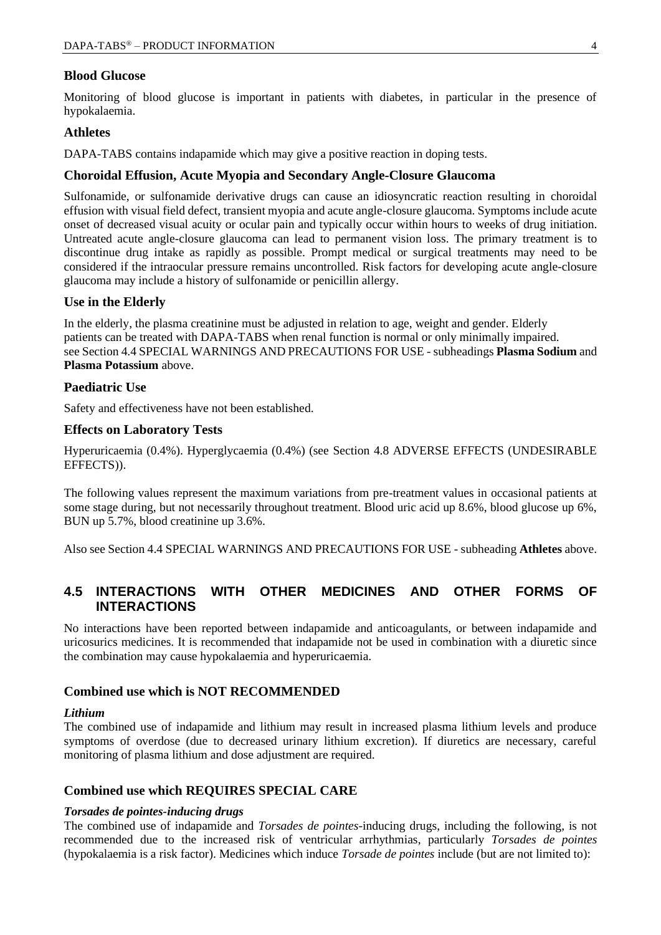## **Blood Glucose**

Monitoring of blood glucose is important in patients with diabetes, in particular in the presence of hypokalaemia.

#### **Athletes**

DAPA-TABS contains indapamide which may give a positive reaction in doping tests.

### **Choroidal Effusion, Acute Myopia and Secondary Angle-Closure Glaucoma**

Sulfonamide, or sulfonamide derivative drugs can cause an idiosyncratic reaction resulting in choroidal effusion with visual field defect, transient myopia and acute angle-closure glaucoma. Symptoms include acute onset of decreased visual acuity or ocular pain and typically occur within hours to weeks of drug initiation. Untreated acute angle-closure glaucoma can lead to permanent vision loss. The primary treatment is to discontinue drug intake as rapidly as possible. Prompt medical or surgical treatments may need to be considered if the intraocular pressure remains uncontrolled. Risk factors for developing acute angle-closure glaucoma may include a history of sulfonamide or penicillin allergy.

## **Use in the Elderly**

In the elderly, the plasma creatinine must be adjusted in relation to age, weight and gender. Elderly patients can be treated with DAPA-TABS when renal function is normal or only minimally impaired. see Section 4.4 SPECIAL WARNINGS AND PRECAUTIONS FOR USE - subheadings **Plasma Sodium** and **Plasma Potassium** above.

### **Paediatric Use**

Safety and effectiveness have not been established.

#### **Effects on Laboratory Tests**

Hyperuricaemia (0.4%). Hyperglycaemia (0.4%) (see Section 4.8 ADVERSE EFFECTS (UNDESIRABLE EFFECTS)).

The following values represent the maximum variations from pre-treatment values in occasional patients at some stage during, but not necessarily throughout treatment. Blood uric acid up 8.6%, blood glucose up 6%, BUN up 5.7%, blood creatinine up 3.6%.

Also see Section 4.4 SPECIAL WARNINGS AND PRECAUTIONS FOR USE - subheading **Athletes** above.

## **4.5 INTERACTIONS WITH OTHER MEDICINES AND OTHER FORMS OF INTERACTIONS**

No interactions have been reported between indapamide and anticoagulants, or between indapamide and uricosurics medicines. It is recommended that indapamide not be used in combination with a diuretic since the combination may cause hypokalaemia and hyperuricaemia.

### **Combined use which is NOT RECOMMENDED**

#### *Lithium*

The combined use of indapamide and lithium may result in increased plasma lithium levels and produce symptoms of overdose (due to decreased urinary lithium excretion). If diuretics are necessary, careful monitoring of plasma lithium and dose adjustment are required.

### **Combined use which REQUIRES SPECIAL CARE**

#### *Torsades de pointes-inducing drugs*

The combined use of indapamide and *Torsades de pointes*-inducing drugs, including the following, is not recommended due to the increased risk of ventricular arrhythmias, particularly *Torsades de pointes* (hypokalaemia is a risk factor). Medicines which induce *Torsade de pointes* include (but are not limited to):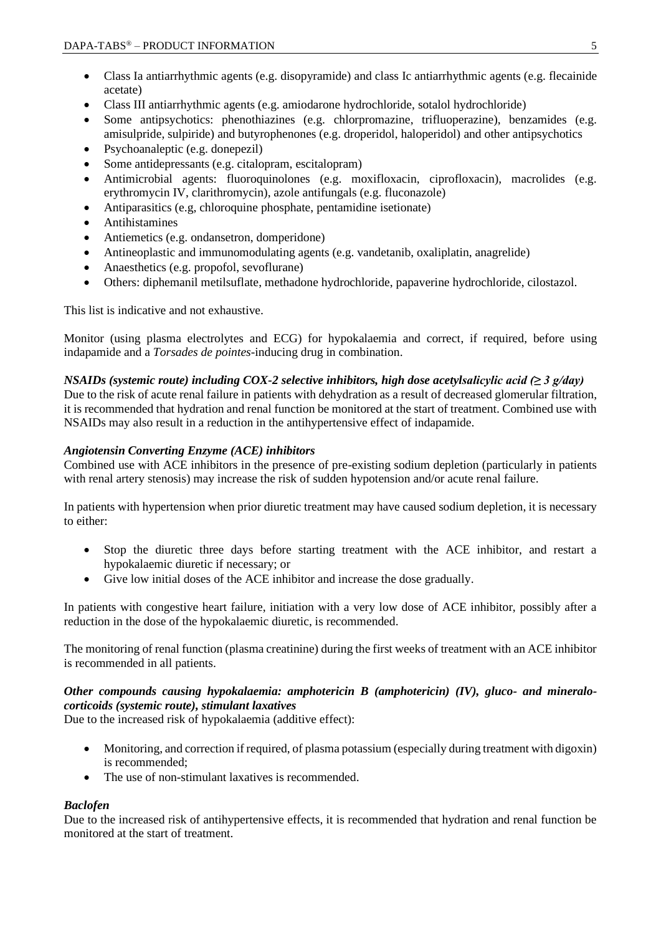- Class Ia antiarrhythmic agents (e.g. disopyramide) and class Ic antiarrhythmic agents (e.g. flecainide acetate)
- Class III antiarrhythmic agents (e.g. amiodarone hydrochloride, sotalol hydrochloride)
- Some antipsychotics: phenothiazines (e.g. chlorpromazine, trifluoperazine), benzamides (e.g. amisulpride, sulpiride) and butyrophenones (e.g. droperidol, haloperidol) and other antipsychotics
- Psychoanaleptic (e.g. donepezil)
- Some antidepressants (e.g. citalopram, escitalopram)
- Antimicrobial agents: fluoroquinolones (e.g. moxifloxacin, ciprofloxacin), macrolides (e.g. erythromycin IV, clarithromycin), azole antifungals (e.g. fluconazole)
- Antiparasitics (e.g, chloroquine phosphate, pentamidine isetionate)
- **Antihistamines**
- Antiemetics (e.g. ondansetron, domperidone)
- Antineoplastic and immunomodulating agents (e.g. vandetanib, oxaliplatin, anagrelide)
- Anaesthetics (e.g. propofol, sevoflurane)
- Others: diphemanil metilsuflate, methadone hydrochloride, papaverine hydrochloride, cilostazol.

This list is indicative and not exhaustive.

Monitor (using plasma electrolytes and ECG) for hypokalaemia and correct, if required, before using indapamide and a *Torsades de pointes*-inducing drug in combination.

## *NSAIDs (systemic route) including COX-2 selective inhibitors, high dose acetylsalicylic acid (≥ 3 g/day)*

Due to the risk of acute renal failure in patients with dehydration as a result of decreased glomerular filtration, it is recommended that hydration and renal function be monitored at the start of treatment. Combined use with NSAIDs may also result in a reduction in the antihypertensive effect of indapamide.

## *Angiotensin Converting Enzyme (ACE) inhibitors*

Combined use with ACE inhibitors in the presence of pre-existing sodium depletion (particularly in patients with renal artery stenosis) may increase the risk of sudden hypotension and/or acute renal failure.

In patients with hypertension when prior diuretic treatment may have caused sodium depletion, it is necessary to either:

- Stop the diuretic three days before starting treatment with the ACE inhibitor, and restart a hypokalaemic diuretic if necessary; or
- Give low initial doses of the ACE inhibitor and increase the dose gradually.

In patients with congestive heart failure, initiation with a very low dose of ACE inhibitor, possibly after a reduction in the dose of the hypokalaemic diuretic, is recommended.

The monitoring of renal function (plasma creatinine) during the first weeks of treatment with an ACE inhibitor is recommended in all patients.

## *Other compounds causing hypokalaemia: amphotericin B (amphotericin) (IV), gluco- and mineralocorticoids (systemic route), stimulant laxatives*

Due to the increased risk of hypokalaemia (additive effect):

- Monitoring, and correction if required, of plasma potassium (especially during treatment with digoxin) is recommended;
- The use of non-stimulant laxatives is recommended.

## *Baclofen*

Due to the increased risk of antihypertensive effects, it is recommended that hydration and renal function be monitored at the start of treatment.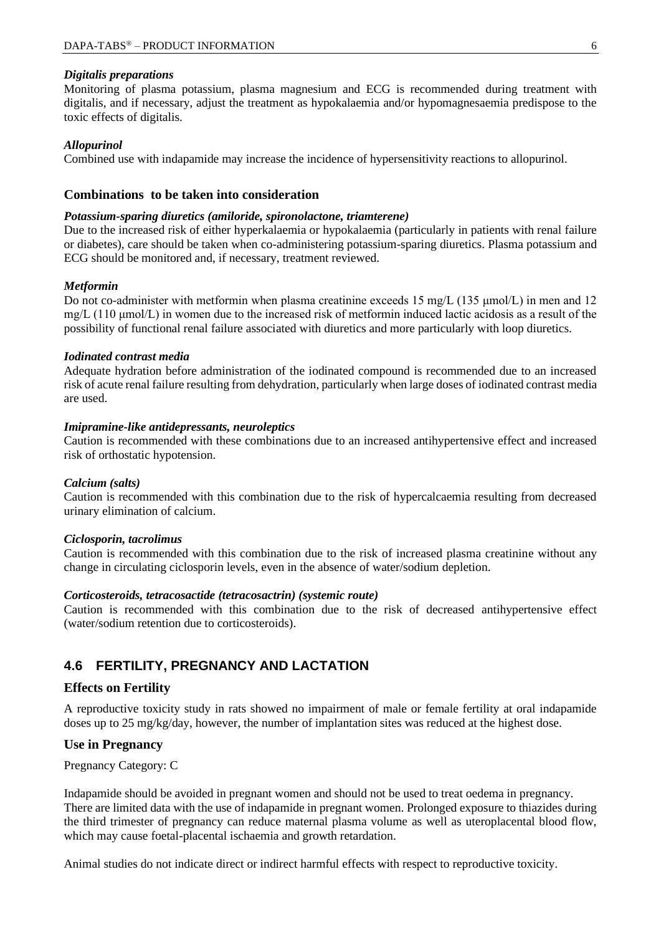#### *Digitalis preparations*

Monitoring of plasma potassium, plasma magnesium and ECG is recommended during treatment with digitalis, and if necessary, adjust the treatment as hypokalaemia and/or hypomagnesaemia predispose to the toxic effects of digitalis.

#### *Allopurinol*

Combined use with indapamide may increase the incidence of hypersensitivity reactions to allopurinol.

#### **Combinations to be taken into consideration**

#### *Potassium-sparing diuretics (amiloride, spironolactone, triamterene)*

Due to the increased risk of either hyperkalaemia or hypokalaemia (particularly in patients with renal failure or diabetes), care should be taken when co-administering potassium-sparing diuretics. Plasma potassium and ECG should be monitored and, if necessary, treatment reviewed.

#### *Metformin*

Do not co-administer with metformin when plasma creatinine exceeds 15 mg/L (135 μmol/L) in men and 12 mg/L (110 umol/L) in women due to the increased risk of metformin induced lactic acidosis as a result of the possibility of functional renal failure associated with diuretics and more particularly with loop diuretics.

#### *Iodinated contrast media*

Adequate hydration before administration of the iodinated compound is recommended due to an increased risk of acute renal failure resulting from dehydration, particularly when large doses of iodinated contrast media are used.

#### *Imipramine-like antidepressants, neuroleptics*

Caution is recommended with these combinations due to an increased antihypertensive effect and increased risk of orthostatic hypotension.

#### *Calcium (salts)*

Caution is recommended with this combination due to the risk of hypercalcaemia resulting from decreased urinary elimination of calcium.

#### *Ciclosporin, tacrolimus*

Caution is recommended with this combination due to the risk of increased plasma creatinine without any change in circulating ciclosporin levels, even in the absence of water/sodium depletion.

#### *Corticosteroids, tetracosactide (tetracosactrin) (systemic route)*

Caution is recommended with this combination due to the risk of decreased antihypertensive effect (water/sodium retention due to corticosteroids).

## **4.6 FERTILITY, PREGNANCY AND LACTATION**

#### **Effects on Fertility**

A reproductive toxicity study in rats showed no impairment of male or female fertility at oral indapamide doses up to 25 mg/kg/day, however, the number of implantation sites was reduced at the highest dose.

#### **Use in Pregnancy**

Pregnancy Category: C

Indapamide should be avoided in pregnant women and should not be used to treat oedema in pregnancy. There are limited data with the use of indapamide in pregnant women. Prolonged exposure to thiazides during the third trimester of pregnancy can reduce maternal plasma volume as well as uteroplacental blood flow, which may cause foetal-placental ischaemia and growth retardation.

Animal studies do not indicate direct or indirect harmful effects with respect to reproductive toxicity.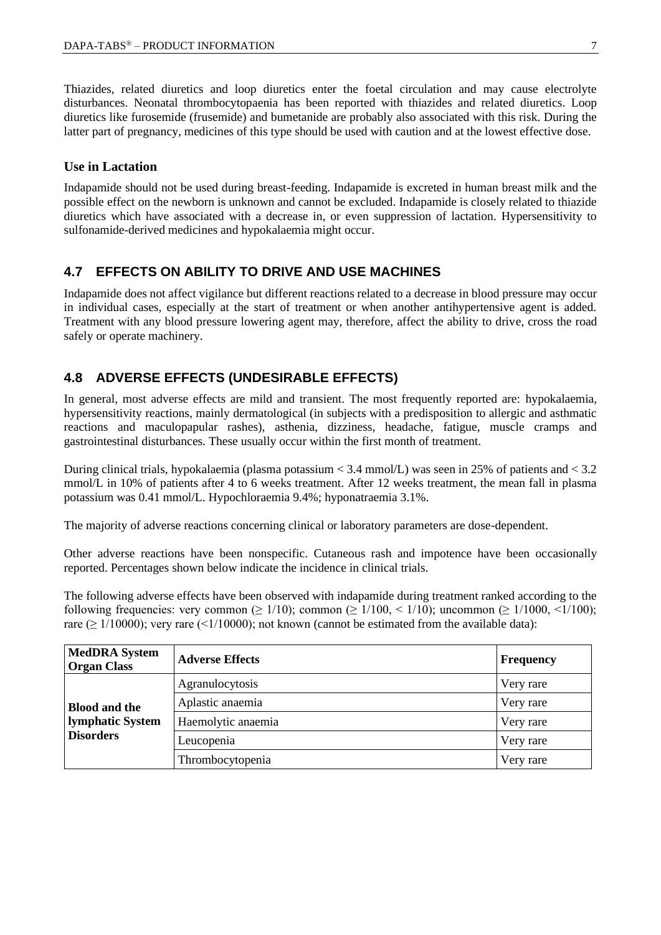Thiazides, related diuretics and loop diuretics enter the foetal circulation and may cause electrolyte disturbances. Neonatal thrombocytopaenia has been reported with thiazides and related diuretics. Loop diuretics like furosemide (frusemide) and bumetanide are probably also associated with this risk. During the latter part of pregnancy, medicines of this type should be used with caution and at the lowest effective dose.

### **Use in Lactation**

Indapamide should not be used during breast-feeding. Indapamide is excreted in human breast milk and the possible effect on the newborn is unknown and cannot be excluded. Indapamide is closely related to thiazide diuretics which have associated with a decrease in, or even suppression of lactation. Hypersensitivity to sulfonamide-derived medicines and hypokalaemia might occur.

## **4.7 EFFECTS ON ABILITY TO DRIVE AND USE MACHINES**

Indapamide does not affect vigilance but different reactions related to a decrease in blood pressure may occur in individual cases, especially at the start of treatment or when another antihypertensive agent is added. Treatment with any blood pressure lowering agent may, therefore, affect the ability to drive, cross the road safely or operate machinery.

## **4.8 ADVERSE EFFECTS (UNDESIRABLE EFFECTS)**

In general, most adverse effects are mild and transient. The most frequently reported are: hypokalaemia, hypersensitivity reactions, mainly dermatological (in subjects with a predisposition to allergic and asthmatic reactions and maculopapular rashes), asthenia, dizziness, headache, fatigue, muscle cramps and gastrointestinal disturbances. These usually occur within the first month of treatment.

During clinical trials, hypokalaemia (plasma potassium  $< 3.4$  mmol/L) was seen in 25% of patients and  $< 3.2$ mmol/L in 10% of patients after 4 to 6 weeks treatment. After 12 weeks treatment, the mean fall in plasma potassium was 0.41 mmol/L. Hypochloraemia 9.4%; hyponatraemia 3.1%.

The majority of adverse reactions concerning clinical or laboratory parameters are dose-dependent.

Other adverse reactions have been nonspecific. Cutaneous rash and impotence have been occasionally reported. Percentages shown below indicate the incidence in clinical trials.

The following adverse effects have been observed with indapamide during treatment ranked according to the following frequencies: very common ( $\geq 1/10$ ); common ( $\geq 1/100$ ,  $\leq 1/100$ ); uncommon ( $\geq 1/1000$ ,  $\leq 1/100$ ); rare ( $\geq 1/10000$ ); very rare (<1/10000); not known (cannot be estimated from the available data):

| <b>MedDRA</b> System<br><b>Organ Class</b>                          | <b>Adverse Effects</b> | Frequency |
|---------------------------------------------------------------------|------------------------|-----------|
| <b>Blood and the</b><br><b>Iymphatic System</b><br><b>Disorders</b> | Agranulocytosis        | Very rare |
|                                                                     | Aplastic anaemia       | Very rare |
|                                                                     | Haemolytic anaemia     | Very rare |
|                                                                     | Leucopenia             | Very rare |
|                                                                     | Thrombocytopenia       | Very rare |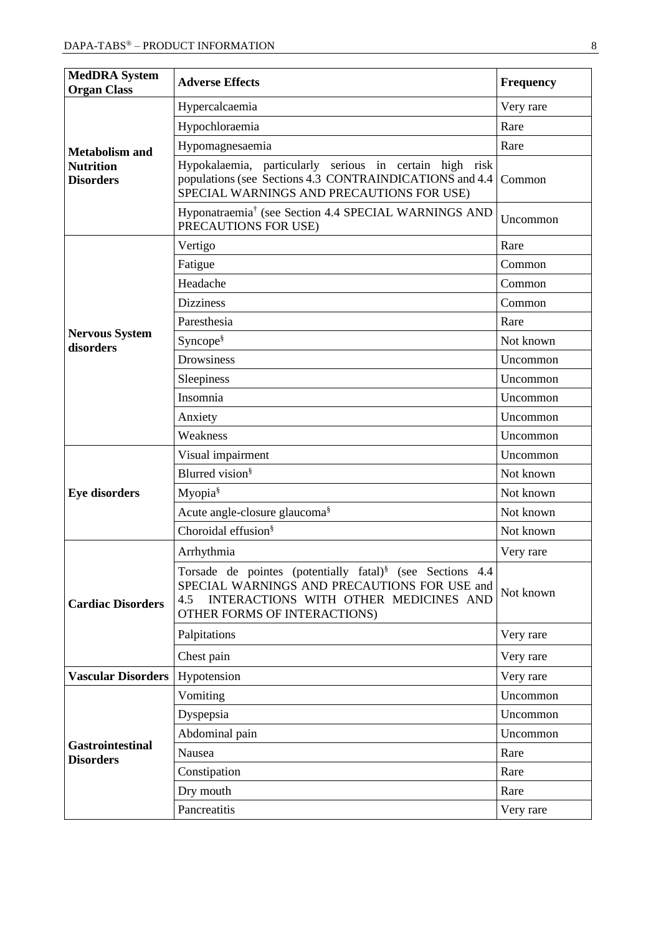| <b>MedDRA</b> System<br><b>Organ Class</b>                    | <b>Adverse Effects</b>                                                                                                                                                                                | <b>Frequency</b> |
|---------------------------------------------------------------|-------------------------------------------------------------------------------------------------------------------------------------------------------------------------------------------------------|------------------|
| <b>Metabolism and</b><br><b>Nutrition</b><br><b>Disorders</b> | Hypercalcaemia                                                                                                                                                                                        | Very rare        |
|                                                               | Hypochloraemia                                                                                                                                                                                        | Rare             |
|                                                               | Hypomagnesaemia                                                                                                                                                                                       | Rare             |
|                                                               | Hypokalaemia, particularly serious in certain high risk<br>populations (see Sections 4.3 CONTRAINDICATIONS and 4.4<br>SPECIAL WARNINGS AND PRECAUTIONS FOR USE)                                       | Common           |
|                                                               | Hyponatraemia <sup>†</sup> (see Section 4.4 SPECIAL WARNINGS AND<br>PRECAUTIONS FOR USE)                                                                                                              | Uncommon         |
|                                                               | Vertigo                                                                                                                                                                                               | Rare             |
|                                                               | Fatigue                                                                                                                                                                                               | Common           |
|                                                               | Headache                                                                                                                                                                                              | Common           |
|                                                               | <b>Dizziness</b>                                                                                                                                                                                      | Common           |
|                                                               | Paresthesia                                                                                                                                                                                           | Rare             |
| <b>Nervous System</b><br>disorders                            | Syncope <sup>§</sup>                                                                                                                                                                                  | Not known        |
|                                                               | <b>Drowsiness</b>                                                                                                                                                                                     | Uncommon         |
|                                                               | Sleepiness                                                                                                                                                                                            | Uncommon         |
|                                                               | Insomnia                                                                                                                                                                                              | Uncommon         |
|                                                               | Anxiety                                                                                                                                                                                               | Uncommon         |
|                                                               | Weakness                                                                                                                                                                                              | Uncommon         |
|                                                               | Visual impairment                                                                                                                                                                                     | Uncommon         |
|                                                               | Blurred vision <sup>§</sup>                                                                                                                                                                           | Not known        |
| <b>Eye disorders</b>                                          | Myopia <sup>§</sup>                                                                                                                                                                                   | Not known        |
|                                                               | Acute angle-closure glaucoma <sup>§</sup>                                                                                                                                                             | Not known        |
|                                                               | Choroidal effusion <sup>§</sup>                                                                                                                                                                       | Not known        |
|                                                               | Arrhythmia                                                                                                                                                                                            | Very rare        |
| <b>Cardiac Disorders</b>                                      | Torsade de pointes (potentially fatal) <sup>§</sup> (see Sections 4.4<br>SPECIAL WARNINGS AND PRECAUTIONS FOR USE and<br>INTERACTIONS WITH OTHER MEDICINES AND<br>4.5<br>OTHER FORMS OF INTERACTIONS) | Not known        |
|                                                               | Palpitations                                                                                                                                                                                          | Very rare        |
|                                                               | Chest pain                                                                                                                                                                                            | Very rare        |
| <b>Vascular Disorders</b>                                     | Hypotension                                                                                                                                                                                           | Very rare        |
|                                                               | Vomiting                                                                                                                                                                                              | Uncommon         |
|                                                               | Dyspepsia                                                                                                                                                                                             | Uncommon         |
|                                                               | Abdominal pain                                                                                                                                                                                        | Uncommon         |
| <b>Gastrointestinal</b><br><b>Disorders</b>                   | Nausea                                                                                                                                                                                                | Rare             |
|                                                               | Constipation                                                                                                                                                                                          | Rare             |
|                                                               | Dry mouth                                                                                                                                                                                             | Rare             |
|                                                               | Pancreatitis                                                                                                                                                                                          | Very rare        |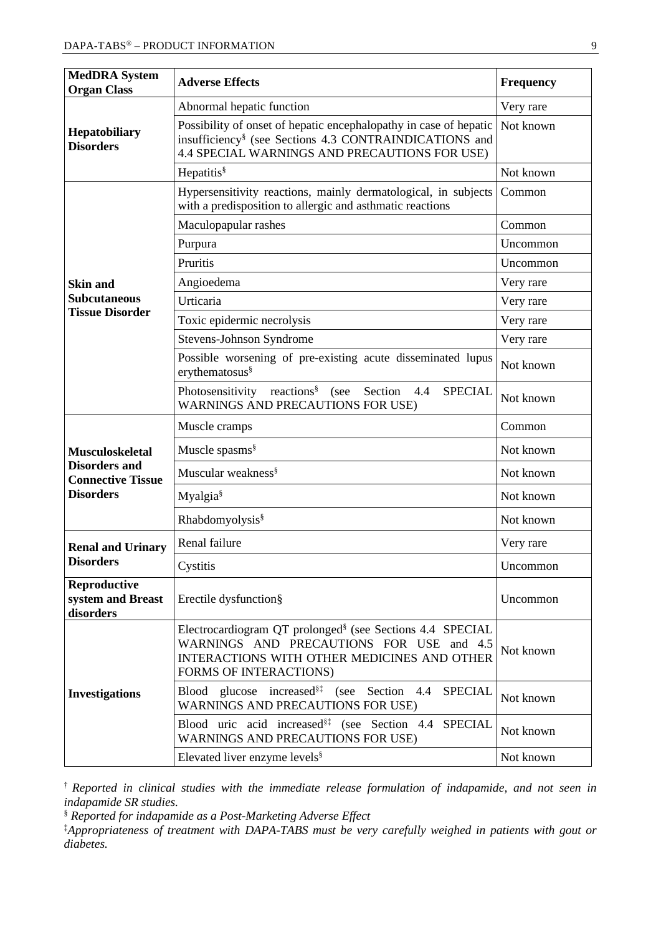| <b>MedDRA</b> System<br><b>Organ Class</b>       | <b>Adverse Effects</b>                                                                                                                                                                     | <b>Frequency</b> |
|--------------------------------------------------|--------------------------------------------------------------------------------------------------------------------------------------------------------------------------------------------|------------------|
| Hepatobiliary<br><b>Disorders</b>                | Abnormal hepatic function                                                                                                                                                                  | Very rare        |
|                                                  | Possibility of onset of hepatic encephalopathy in case of hepatic<br>insufficiency <sup>§</sup> (see Sections 4.3 CONTRAINDICATIONS and<br>4.4 SPECIAL WARNINGS AND PRECAUTIONS FOR USE)   | Not known        |
|                                                  | Hepatitis <sup>§</sup>                                                                                                                                                                     | Not known        |
|                                                  | Hypersensitivity reactions, mainly dermatological, in subjects<br>with a predisposition to allergic and asthmatic reactions                                                                | Common           |
|                                                  | Maculopapular rashes                                                                                                                                                                       | Common           |
|                                                  | Purpura                                                                                                                                                                                    | Uncommon         |
|                                                  | Pruritis                                                                                                                                                                                   | Uncommon         |
| <b>Skin and</b>                                  | Angioedema                                                                                                                                                                                 | Very rare        |
| <b>Subcutaneous</b><br><b>Tissue Disorder</b>    | Urticaria                                                                                                                                                                                  | Very rare        |
|                                                  | Toxic epidermic necrolysis                                                                                                                                                                 | Very rare        |
|                                                  | <b>Stevens-Johnson Syndrome</b>                                                                                                                                                            | Very rare        |
|                                                  | Possible worsening of pre-existing acute disseminated lupus<br>erythematosus <sup>§</sup>                                                                                                  | Not known        |
|                                                  | Photosensitivity reactions <sup>§</sup> (see<br>Section<br>4.4<br><b>SPECIAL</b><br><b>WARNINGS AND PRECAUTIONS FOR USE)</b>                                                               | Not known        |
|                                                  | Muscle cramps                                                                                                                                                                              | Common           |
| <b>Musculoskeletal</b>                           | Muscle spasms <sup>§</sup>                                                                                                                                                                 | Not known        |
| <b>Disorders</b> and<br><b>Connective Tissue</b> | Muscular weakness <sup>§</sup>                                                                                                                                                             | Not known        |
| <b>Disorders</b>                                 | Myalgia <sup>§</sup>                                                                                                                                                                       | Not known        |
|                                                  | Rhabdomyolysis <sup>§</sup>                                                                                                                                                                | Not known        |
| <b>Renal and Urinary</b>                         | Renal failure                                                                                                                                                                              | Very rare        |
| <b>Disorders</b>                                 | Cystitis                                                                                                                                                                                   | Uncommon         |
| Reproductive<br>system and Breast<br>disorders   | Erectile dysfunction§                                                                                                                                                                      | Uncommon         |
| <b>Investigations</b>                            | Electrocardiogram QT prolonged <sup>§</sup> (see Sections 4.4 SPECIAL<br>WARNINGS AND PRECAUTIONS FOR USE and 4.5<br>INTERACTIONS WITH OTHER MEDICINES AND OTHER<br>FORMS OF INTERACTIONS) | Not known        |
|                                                  | Blood glucose increased $\frac{1}{2}$ (see Section 4.4)<br><b>SPECIAL</b><br>WARNINGS AND PRECAUTIONS FOR USE)                                                                             | Not known        |
|                                                  | Blood uric acid increased <sup>§‡</sup> (see Section 4.4 SPECIAL<br>WARNINGS AND PRECAUTIONS FOR USE)                                                                                      | Not known        |
|                                                  | Elevated liver enzyme levels <sup>§</sup>                                                                                                                                                  | Not known        |

† *Reported in clinical studies with the immediate release formulation of indapamide, and not seen in indapamide SR studies.*

§ *Reported for indapamide as a Post-Marketing Adverse Effect*

‡*Appropriateness of treatment with DAPA-TABS must be very carefully weighed in patients with gout or diabetes.*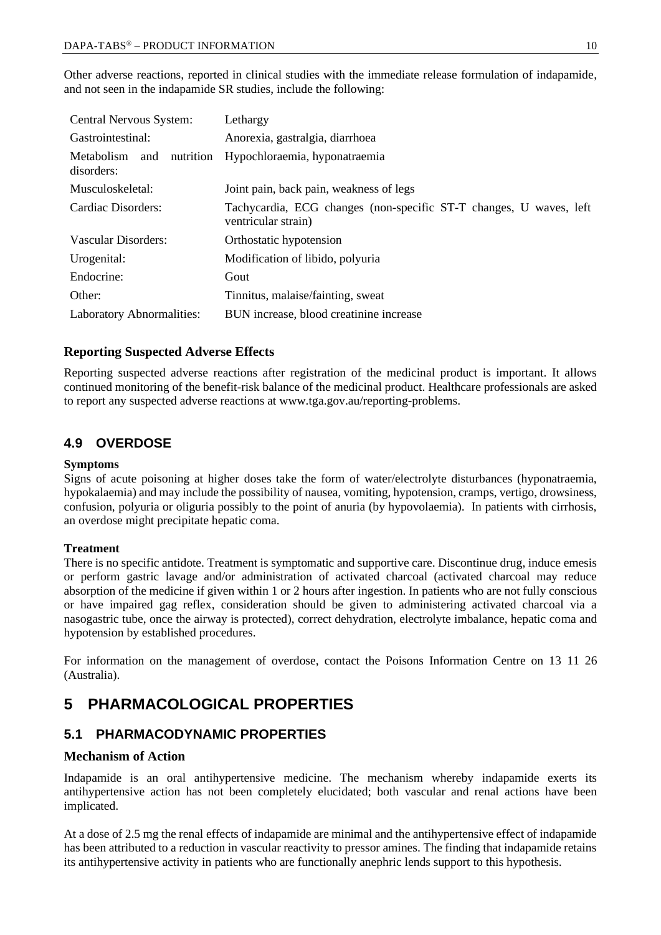Other adverse reactions, reported in clinical studies with the immediate release formulation of indapamide, and not seen in the indapamide SR studies, include the following:

| Central Nervous System:                      | Lethargy                                                                                  |
|----------------------------------------------|-------------------------------------------------------------------------------------------|
| Gastrointestinal:                            | Anorexia, gastralgia, diarrhoea                                                           |
| nutrition<br>Metabolism<br>and<br>disorders: | Hypochloraemia, hyponatraemia                                                             |
| Musculoskeletal:                             | Joint pain, back pain, weakness of legs                                                   |
| Cardiac Disorders:                           | Tachycardia, ECG changes (non-specific ST-T changes, U waves, left<br>ventricular strain) |
| Vascular Disorders:                          | Orthostatic hypotension                                                                   |
| Urogenital:                                  | Modification of libido, polyuria                                                          |
| Endocrine:                                   | Gout                                                                                      |
| Other:                                       | Tinnitus, malaise/fainting, sweat                                                         |
| <b>Laboratory Abnormalities:</b>             | BUN increase, blood creatinine increase                                                   |

## **Reporting Suspected Adverse Effects**

Reporting suspected adverse reactions after registration of the medicinal product is important. It allows continued monitoring of the benefit-risk balance of the medicinal product. Healthcare professionals are asked to report any suspected adverse reactions at [www.tga.gov.au/reporting-problems.](http://www.tga.gov.au/reporting-problems)

## **4.9 OVERDOSE**

#### **Symptoms**

Signs of acute poisoning at higher doses take the form of water/electrolyte disturbances (hyponatraemia, hypokalaemia) and may include the possibility of nausea, vomiting, hypotension, cramps, vertigo, drowsiness, confusion, polyuria or oliguria possibly to the point of anuria (by hypovolaemia). In patients with cirrhosis, an overdose might precipitate hepatic coma.

### **Treatment**

There is no specific antidote. Treatment is symptomatic and supportive care. Discontinue drug, induce emesis or perform gastric lavage and/or administration of activated charcoal (activated charcoal may reduce absorption of the medicine if given within 1 or 2 hours after ingestion. In patients who are not fully conscious or have impaired gag reflex, consideration should be given to administering activated charcoal via a nasogastric tube, once the airway is protected), correct dehydration, electrolyte imbalance, hepatic coma and hypotension by established procedures.

For information on the management of overdose, contact the Poisons Information Centre on 13 11 26 (Australia).

## **5 PHARMACOLOGICAL PROPERTIES**

## **5.1 PHARMACODYNAMIC PROPERTIES**

### **Mechanism of Action**

Indapamide is an oral antihypertensive medicine. The mechanism whereby indapamide exerts its antihypertensive action has not been completely elucidated; both vascular and renal actions have been implicated.

At a dose of 2.5 mg the renal effects of indapamide are minimal and the antihypertensive effect of indapamide has been attributed to a reduction in vascular reactivity to pressor amines. The finding that indapamide retains its antihypertensive activity in patients who are functionally anephric lends support to this hypothesis.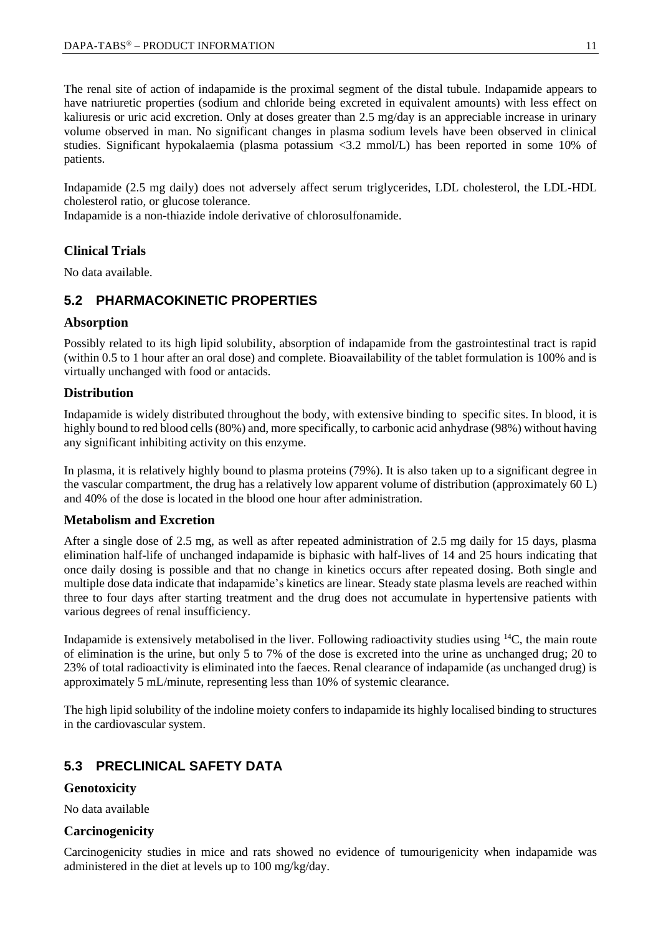The renal site of action of indapamide is the proximal segment of the distal tubule. Indapamide appears to have natriuretic properties (sodium and chloride being excreted in equivalent amounts) with less effect on kaliuresis or uric acid excretion. Only at doses greater than 2.5 mg/day is an appreciable increase in urinary volume observed in man. No significant changes in plasma sodium levels have been observed in clinical studies. Significant hypokalaemia (plasma potassium <3.2 mmol/L) has been reported in some 10% of patients.

Indapamide (2.5 mg daily) does not adversely affect serum triglycerides, LDL cholesterol, the LDL-HDL cholesterol ratio, or glucose tolerance.

Indapamide is a non-thiazide indole derivative of chlorosulfonamide.

## **Clinical Trials**

No data available.

## **5.2 PHARMACOKINETIC PROPERTIES**

#### **Absorption**

Possibly related to its high lipid solubility, absorption of indapamide from the gastrointestinal tract is rapid (within 0.5 to 1 hour after an oral dose) and complete. Bioavailability of the tablet formulation is 100% and is virtually unchanged with food or antacids.

### **Distribution**

Indapamide is widely distributed throughout the body, with extensive binding to specific sites. In blood, it is highly bound to red blood cells (80%) and, more specifically, to carbonic acid anhydrase (98%) without having any significant inhibiting activity on this enzyme.

In plasma, it is relatively highly bound to plasma proteins (79%). It is also taken up to a significant degree in the vascular compartment, the drug has a relatively low apparent volume of distribution (approximately 60 L) and 40% of the dose is located in the blood one hour after administration.

### **Metabolism and Excretion**

After a single dose of 2.5 mg, as well as after repeated administration of 2.5 mg daily for 15 days, plasma elimination half-life of unchanged indapamide is biphasic with half-lives of 14 and 25 hours indicating that once daily dosing is possible and that no change in kinetics occurs after repeated dosing. Both single and multiple dose data indicate that indapamide's kinetics are linear. Steady state plasma levels are reached within three to four days after starting treatment and the drug does not accumulate in hypertensive patients with various degrees of renal insufficiency.

Indapamide is extensively metabolised in the liver. Following radioactivity studies using <sup>14</sup>C, the main route of elimination is the urine, but only 5 to 7% of the dose is excreted into the urine as unchanged drug; 20 to 23% of total radioactivity is eliminated into the faeces. Renal clearance of indapamide (as unchanged drug) is approximately 5 mL/minute, representing less than 10% of systemic clearance.

The high lipid solubility of the indoline moiety confers to indapamide its highly localised binding to structures in the cardiovascular system.

## **5.3 PRECLINICAL SAFETY DATA**

### **Genotoxicity**

No data available

### **Carcinogenicity**

Carcinogenicity studies in mice and rats showed no evidence of tumourigenicity when indapamide was administered in the diet at levels up to 100 mg/kg/day.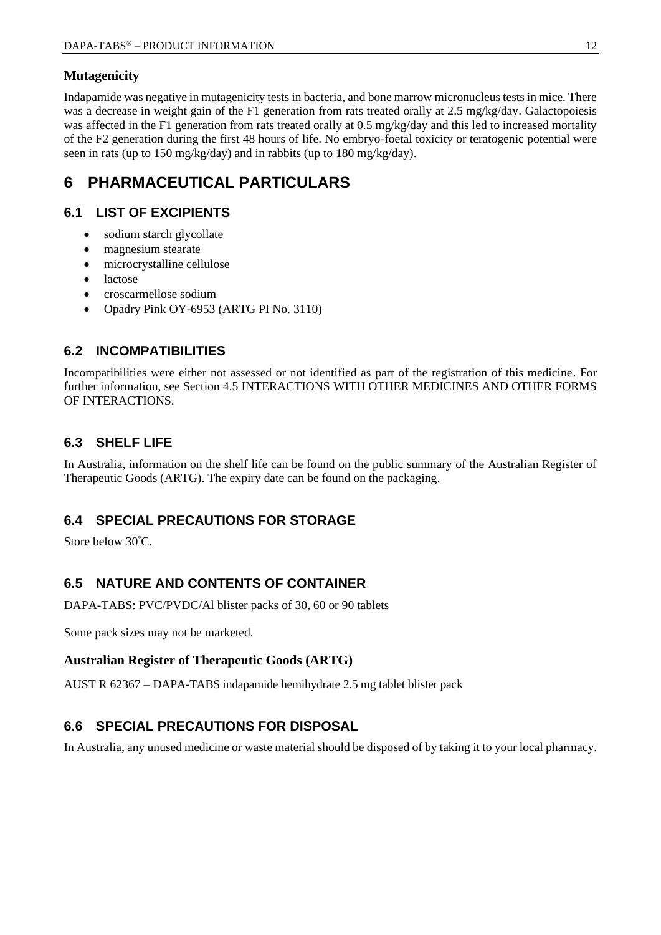## **Mutagenicity**

Indapamide was negative in mutagenicity tests in bacteria, and bone marrow micronucleus tests in mice. There was a decrease in weight gain of the F1 generation from rats treated orally at 2.5 mg/kg/day. Galactopoiesis was affected in the F1 generation from rats treated orally at 0.5 mg/kg/day and this led to increased mortality of the F2 generation during the first 48 hours of life. No embryo-foetal toxicity or teratogenic potential were seen in rats (up to 150 mg/kg/day) and in rabbits (up to 180 mg/kg/day).

# **6 PHARMACEUTICAL PARTICULARS**

## **6.1 LIST OF EXCIPIENTS**

- sodium starch glycollate
- magnesium stearate
- microcrystalline cellulose
- lactose
- croscarmellose sodium
- Opadry Pink OY-6953 (ARTG PI No. 3110)

## **6.2 INCOMPATIBILITIES**

Incompatibilities were either not assessed or not identified as part of the registration of this medicine. For further information, see Section 4.5 INTERACTIONS WITH OTHER MEDICINES AND OTHER FORMS OF INTERACTIONS.

## **6.3 SHELF LIFE**

In Australia, information on the shelf life can be found on the public summary of the Australian Register of Therapeutic Goods (ARTG). The expiry date can be found on the packaging.

## **6.4 SPECIAL PRECAUTIONS FOR STORAGE**

Store below 30°C.

## **6.5 NATURE AND CONTENTS OF CONTAINER**

DAPA-TABS: PVC/PVDC/Al blister packs of 30, 60 or 90 tablets

Some pack sizes may not be marketed.

## **Australian Register of Therapeutic Goods (ARTG)**

AUST R 62367 – DAPA-TABS indapamide hemihydrate 2.5 mg tablet blister pack

## **6.6 SPECIAL PRECAUTIONS FOR DISPOSAL**

In Australia, any unused medicine or waste material should be disposed of by taking it to your local pharmacy.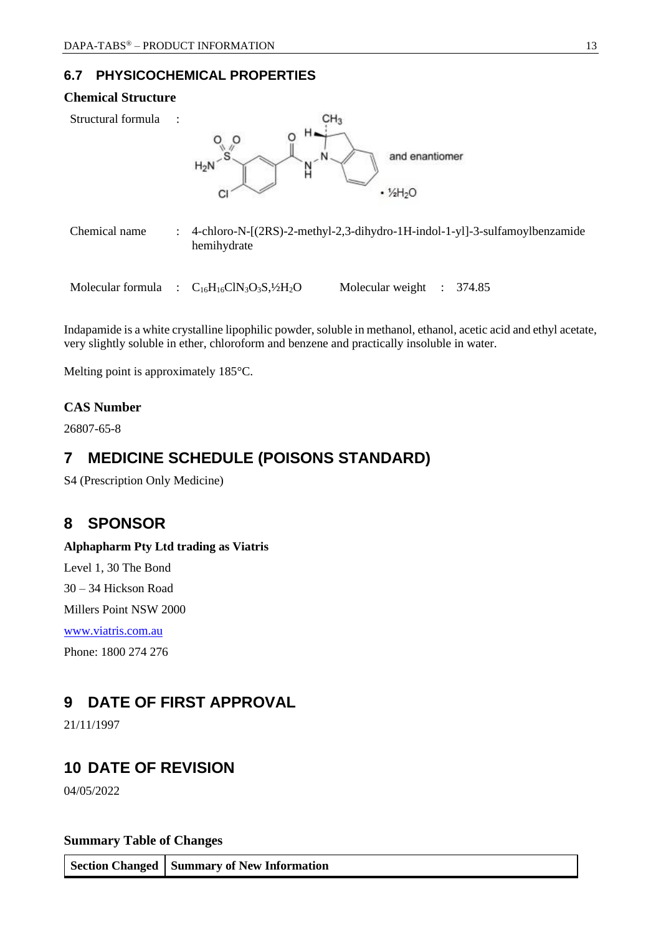## **6.7 PHYSICOCHEMICAL PROPERTIES**

| <b>Chemical Structure</b> |                |                                                                                            |
|---------------------------|----------------|--------------------------------------------------------------------------------------------|
| Structural formula        | $\ddots$       | $CH_3$                                                                                     |
|                           |                | $H_2N-S$<br>and enantiomer<br>$\cdot$ %H <sub>2</sub> O                                    |
| Chemical name             | $\ddot{\cdot}$ | 4-chloro-N-[(2RS)-2-methyl-2,3-dihydro-1H-indol-1-yl]-3-sulfamoylbenzamide<br>hemihydrate  |
| Molecular formula         |                | : $C_{16}H_{16}C1N_3O_3S$ , $\frac{1}{2}H_2O$<br>Molecular weight<br>374.85<br>$\sim 10^6$ |

Indapamide is a white crystalline lipophilic powder, soluble in methanol, ethanol, acetic acid and ethyl acetate, very slightly soluble in ether, chloroform and benzene and practically insoluble in water.

Melting point is approximately 185°C.

## **CAS Number**

26807-65-8

## **7 MEDICINE SCHEDULE (POISONS STANDARD)**

S4 (Prescription Only Medicine)

## **8 SPONSOR**

## **Alphapharm Pty Ltd trading as Viatris**

Level 1, 30 The Bond 30 – 34 Hickson Road Millers Point NSW 2000 [www.viatris.com.au](http://www.viatris.com.au/) Phone: 1800 274 276

## **9 DATE OF FIRST APPROVAL**

21/11/1997

## **10 DATE OF REVISION**

04/05/2022

## **Summary Table of Changes**

| Section Changed   Summary of New Information |
|----------------------------------------------|
|----------------------------------------------|